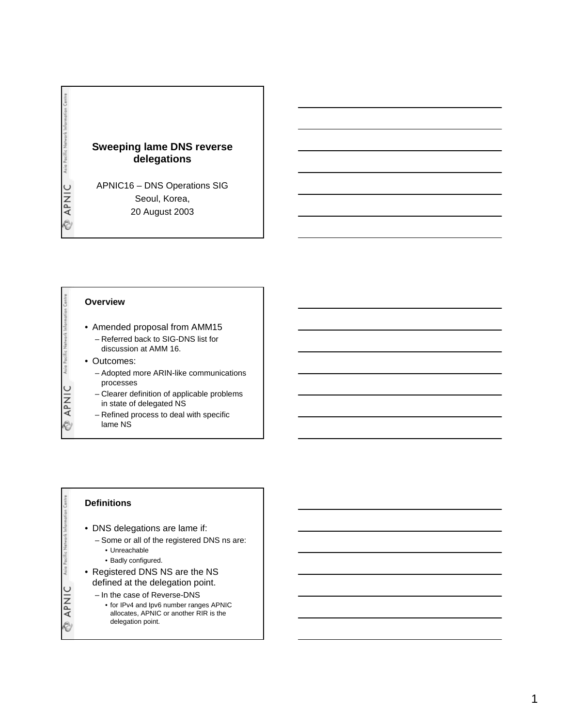

### **Overview**

- Amended proposal from AMM15
	- Referred back to SIG-DNS list for discussion at AMM 16.
- Outcomes:

**APNIC** 

Asia

APNIC

Ò

- Adopted more ARIN-like communications processes
- Clearer definition of applicable problems in state of delegated NS
- Refined process to deal with specific lame NS

## **Definitions**

- DNS delegations are lame if:
	- Some or all of the registered DNS ns are:
		- Unreachable
		- Badly configured.
- Registered DNS NS are the NS defined at the delegation point.
	- In the case of Reverse-DNS
	- for IPv4 and Ipv6 number ranges APNIC
		- allocates, APNIC or another RIR is the delegation point.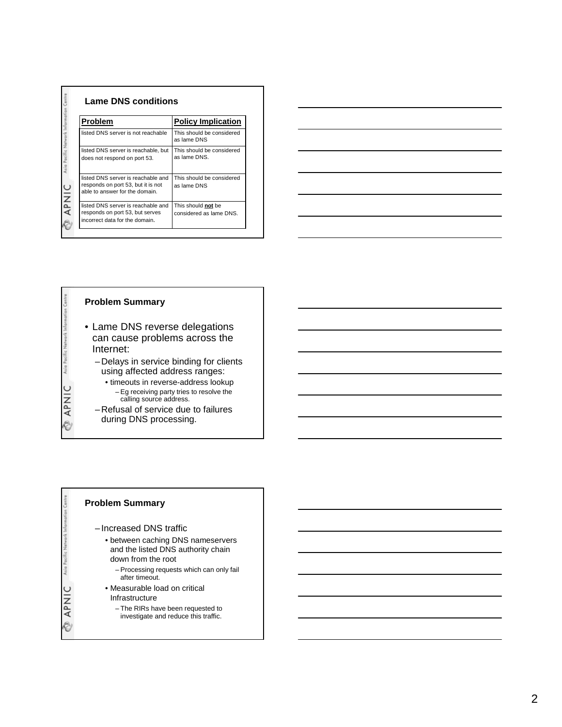| <b>Problem</b>                                                                                             | <b>Policy Implication</b>                     |
|------------------------------------------------------------------------------------------------------------|-----------------------------------------------|
| listed DNS server is not reachable                                                                         | This should be considered<br>as lame DNS      |
| listed DNS server is reachable, but<br>does not respond on port 53.                                        | This should be considered<br>as lame DNS.     |
| listed DNS server is reachable and<br>responds on port 53, but it is not<br>able to answer for the domain. | This should be considered<br>as lame DNS      |
| listed DNS server is reachable and<br>responds on port 53, but serves<br>incorrect data for the domain.    | This should not be<br>considered as lame DNS. |



## **Problem Summary**

Asia Pac

APNIC

Ó

Asia

**OINdy** 

- Lame DNS reverse delegations can cause problems across the Internet:
	- Delays in service binding for clients using affected address ranges:
		- timeouts in reverse-address lookup – Eg receiving party tries to resolve the calling source address.
	- Refusal of service due to failures during DNS processing.

## **Problem Summary**

- Increased DNS traffic
	- between caching DNS nameservers and the listed DNS authority chain down from the root
		-
		- Processing requests which can only fail after timeout.
	- Measurable load on critical Infrastructure
		- The RIRs have been requested to investigate and reduce this traffic.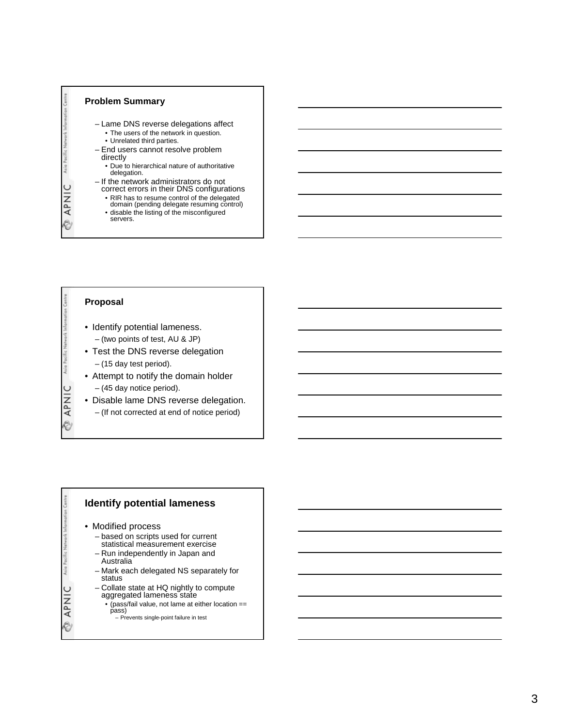

## **Proposal**

**APNIC** 

Ò

**Maio** 

**APNIC** 

Ò

- Identify potential lameness. – (two points of test, AU & JP)
- Test the DNS reverse delegation – (15 day test period).
- Attempt to notify the domain holder – (45 day notice period).
- Disable lame DNS reverse delegation.
- (If not corrected at end of notice period)

## **Identify potential lameness**

• Modified process

- based on scripts used for current statistical measurement exercise
- Run independently in Japan and Australia
- Mark each delegated NS separately for status
- Collate state at HQ nightly to compute aggregated lameness state
	- (pass/fail value, not lame at either location == pass)
		- Prevents single-point failure in test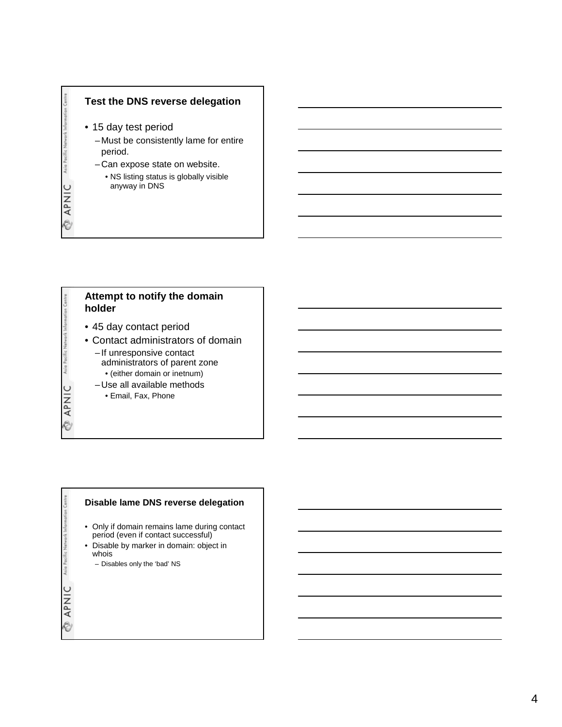

• 15 day test period

**APNIC** 

Ò

**APNIC** 

Ò

Asia

**APNIC** 

Ò

- Must be consistently lame for entire period.
- Can expose state on website.
	- NS listing status is globally visible anyway in DNS

# **Attempt to notify the domain holder**

- 45 day contact period
- Contact administrators of domain
	- If unresponsive contact administrators of parent zone
		- (either domain or inetnum)
	- Use all available methods
		- Email, Fax, Phone

## **Disable lame DNS reverse delegation**

- Only if domain remains lame during contact period (even if contact successful)
- Disable by marker in domain: object in whois
	- Disables only the 'bad' NS